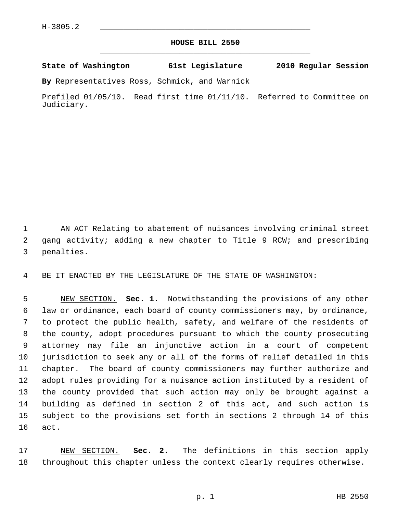## **HOUSE BILL 2550** \_\_\_\_\_\_\_\_\_\_\_\_\_\_\_\_\_\_\_\_\_\_\_\_\_\_\_\_\_\_\_\_\_\_\_\_\_\_\_\_\_\_\_\_\_

**State of Washington 61st Legislature 2010 Regular Session**

**By** Representatives Ross, Schmick, and Warnick

Prefiled 01/05/10. Read first time 01/11/10. Referred to Committee on Judiciary.

 1 AN ACT Relating to abatement of nuisances involving criminal street 2 gang activity; adding a new chapter to Title 9 RCW; and prescribing 3 penalties.

4 BE IT ENACTED BY THE LEGISLATURE OF THE STATE OF WASHINGTON:

 5 NEW SECTION. **Sec. 1.** Notwithstanding the provisions of any other 6 law or ordinance, each board of county commissioners may, by ordinance, 7 to protect the public health, safety, and welfare of the residents of 8 the county, adopt procedures pursuant to which the county prosecuting 9 attorney may file an injunctive action in a court of competent 10 jurisdiction to seek any or all of the forms of relief detailed in this 11 chapter. The board of county commissioners may further authorize and 12 adopt rules providing for a nuisance action instituted by a resident of 13 the county provided that such action may only be brought against a 14 building as defined in section 2 of this act, and such action is 15 subject to the provisions set forth in sections 2 through 14 of this 16 act.

17 NEW SECTION. **Sec. 2.** The definitions in this section apply 18 throughout this chapter unless the context clearly requires otherwise.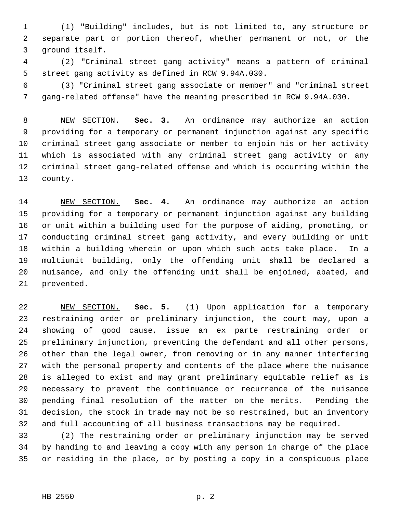1 (1) "Building" includes, but is not limited to, any structure or 2 separate part or portion thereof, whether permanent or not, or the 3 ground itself.

 4 (2) "Criminal street gang activity" means a pattern of criminal 5 street gang activity as defined in RCW 9.94A.030.

 6 (3) "Criminal street gang associate or member" and "criminal street 7 gang-related offense" have the meaning prescribed in RCW 9.94A.030.

 8 NEW SECTION. **Sec. 3.** An ordinance may authorize an action 9 providing for a temporary or permanent injunction against any specific 10 criminal street gang associate or member to enjoin his or her activity 11 which is associated with any criminal street gang activity or any 12 criminal street gang-related offense and which is occurring within the 13 county.

14 NEW SECTION. **Sec. 4.** An ordinance may authorize an action 15 providing for a temporary or permanent injunction against any building 16 or unit within a building used for the purpose of aiding, promoting, or 17 conducting criminal street gang activity, and every building or unit 18 within a building wherein or upon which such acts take place. In a 19 multiunit building, only the offending unit shall be declared a 20 nuisance, and only the offending unit shall be enjoined, abated, and 21 prevented.

22 NEW SECTION. **Sec. 5.** (1) Upon application for a temporary 23 restraining order or preliminary injunction, the court may, upon a 24 showing of good cause, issue an ex parte restraining order or 25 preliminary injunction, preventing the defendant and all other persons, 26 other than the legal owner, from removing or in any manner interfering 27 with the personal property and contents of the place where the nuisance 28 is alleged to exist and may grant preliminary equitable relief as is 29 necessary to prevent the continuance or recurrence of the nuisance 30 pending final resolution of the matter on the merits. Pending the 31 decision, the stock in trade may not be so restrained, but an inventory 32 and full accounting of all business transactions may be required.

33 (2) The restraining order or preliminary injunction may be served 34 by handing to and leaving a copy with any person in charge of the place 35 or residing in the place, or by posting a copy in a conspicuous place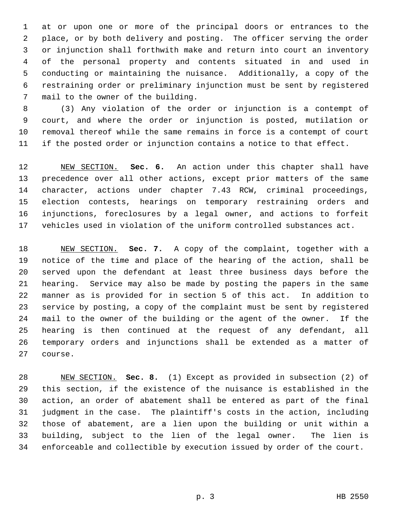1 at or upon one or more of the principal doors or entrances to the 2 place, or by both delivery and posting. The officer serving the order 3 or injunction shall forthwith make and return into court an inventory 4 of the personal property and contents situated in and used in 5 conducting or maintaining the nuisance. Additionally, a copy of the 6 restraining order or preliminary injunction must be sent by registered 7 mail to the owner of the building.

 8 (3) Any violation of the order or injunction is a contempt of 9 court, and where the order or injunction is posted, mutilation or 10 removal thereof while the same remains in force is a contempt of court 11 if the posted order or injunction contains a notice to that effect.

12 NEW SECTION. **Sec. 6.** An action under this chapter shall have 13 precedence over all other actions, except prior matters of the same 14 character, actions under chapter 7.43 RCW, criminal proceedings, 15 election contests, hearings on temporary restraining orders and 16 injunctions, foreclosures by a legal owner, and actions to forfeit 17 vehicles used in violation of the uniform controlled substances act.

18 NEW SECTION. **Sec. 7.** A copy of the complaint, together with a 19 notice of the time and place of the hearing of the action, shall be 20 served upon the defendant at least three business days before the 21 hearing. Service may also be made by posting the papers in the same 22 manner as is provided for in section 5 of this act. In addition to 23 service by posting, a copy of the complaint must be sent by registered 24 mail to the owner of the building or the agent of the owner. If the 25 hearing is then continued at the request of any defendant, all 26 temporary orders and injunctions shall be extended as a matter of 27 course.

28 NEW SECTION. **Sec. 8.** (1) Except as provided in subsection (2) of 29 this section, if the existence of the nuisance is established in the 30 action, an order of abatement shall be entered as part of the final 31 judgment in the case. The plaintiff's costs in the action, including 32 those of abatement, are a lien upon the building or unit within a 33 building, subject to the lien of the legal owner. The lien is 34 enforceable and collectible by execution issued by order of the court.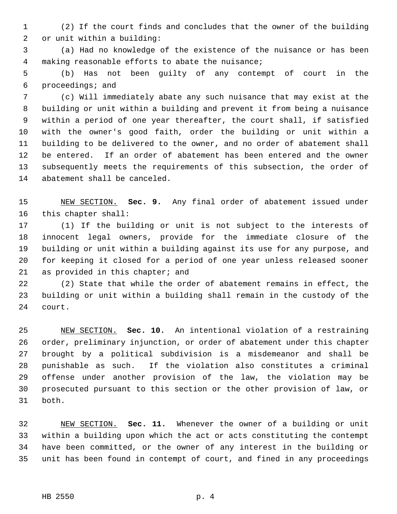1 (2) If the court finds and concludes that the owner of the building 2 or unit within a building:

 3 (a) Had no knowledge of the existence of the nuisance or has been 4 making reasonable efforts to abate the nuisance;

 5 (b) Has not been guilty of any contempt of court in the 6 proceedings; and

 7 (c) Will immediately abate any such nuisance that may exist at the 8 building or unit within a building and prevent it from being a nuisance 9 within a period of one year thereafter, the court shall, if satisfied 10 with the owner's good faith, order the building or unit within a 11 building to be delivered to the owner, and no order of abatement shall 12 be entered. If an order of abatement has been entered and the owner 13 subsequently meets the requirements of this subsection, the order of 14 abatement shall be canceled.

15 NEW SECTION. **Sec. 9.** Any final order of abatement issued under 16 this chapter shall:

17 (1) If the building or unit is not subject to the interests of 18 innocent legal owners, provide for the immediate closure of the 19 building or unit within a building against its use for any purpose, and 20 for keeping it closed for a period of one year unless released sooner 21 as provided in this chapter; and

22 (2) State that while the order of abatement remains in effect, the 23 building or unit within a building shall remain in the custody of the 24 court.

25 NEW SECTION. **Sec. 10.** An intentional violation of a restraining 26 order, preliminary injunction, or order of abatement under this chapter 27 brought by a political subdivision is a misdemeanor and shall be 28 punishable as such. If the violation also constitutes a criminal 29 offense under another provision of the law, the violation may be 30 prosecuted pursuant to this section or the other provision of law, or 31 both.

32 NEW SECTION. **Sec. 11.** Whenever the owner of a building or unit 33 within a building upon which the act or acts constituting the contempt 34 have been committed, or the owner of any interest in the building or 35 unit has been found in contempt of court, and fined in any proceedings